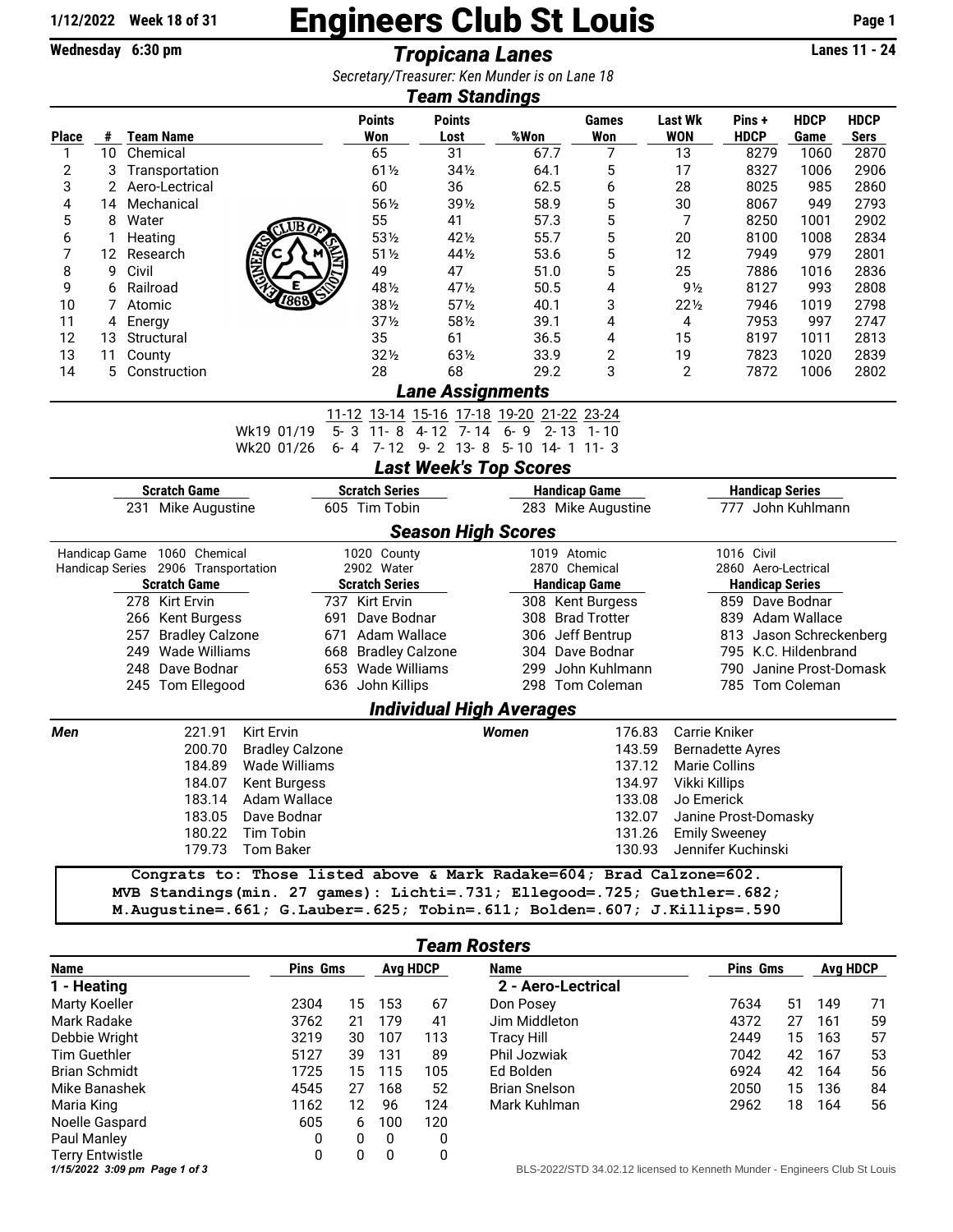## 1/12/2022 Week 18 of 31 **Engineers Club St Louis** Page 1<br>Wednesday 6:30 pm<br>Tropicana Lanes

**Wednesday 6:30 pm Tropicana Lanes** *Secretary/Treasurer: Ken Munder is on Lane 18*

| <b>Team Standings</b>                                               |                 |          |                                     |                                                                                                                                                                                                                                    |             |                                           |                         |                                 |             |                      |                              |                         |                     |                            |  |  |
|---------------------------------------------------------------------|-----------------|----------|-------------------------------------|------------------------------------------------------------------------------------------------------------------------------------------------------------------------------------------------------------------------------------|-------------|-------------------------------------------|-------------------------|---------------------------------|-------------|----------------------|------------------------------|-------------------------|---------------------|----------------------------|--|--|
| <b>Place</b>                                                        |                 |          | # Team Name                         |                                                                                                                                                                                                                                    |             | <b>Points</b><br>Won                      | <b>Points</b><br>Lost   | %Won                            |             | <b>Games</b><br>Won  | <b>Last Wk</b><br><b>WON</b> | Pins+<br><b>HDCP</b>    | <b>HDCP</b><br>Game | <b>HDCP</b><br><b>Sers</b> |  |  |
| 1                                                                   | 10 <sup>°</sup> |          | Chemical                            |                                                                                                                                                                                                                                    |             | 65                                        | 31                      | 67.7                            |             | 7                    | 13                           | 8279                    | 1060                | 2870                       |  |  |
| 2                                                                   | 3               |          | Transportation                      |                                                                                                                                                                                                                                    |             | $61\frac{1}{2}$                           | $34\frac{1}{2}$         | 64.1                            |             | 5                    | 17                           | 8327                    | 1006                | 2906                       |  |  |
| 3                                                                   | 2               |          | Aero-Lectrical                      |                                                                                                                                                                                                                                    |             |                                           | 36                      | 62.5                            |             | 6                    | 28                           | 8025                    | 985                 | 2860                       |  |  |
| 4                                                                   | 14              |          | Mechanical                          |                                                                                                                                                                                                                                    | 60<br>561/2 | 391/2                                     | 58.9                    |                                 | 5           | 30                   | 8067                         | 949                     | 2793                |                            |  |  |
| 5                                                                   | 8               | Water    |                                     |                                                                                                                                                                                                                                    |             |                                           | 41                      | 57.3                            |             | 5                    | 7                            | 8250                    | 1001                | 2902                       |  |  |
| 6                                                                   | 1               | Heating  |                                     | $\overline{C}$ UB $\overline{O}$                                                                                                                                                                                                   |             | 55<br>531/2                               | 421/2                   | 55.7                            |             | 5                    | 20                           | 8100                    | 1008                | 2834                       |  |  |
| 7                                                                   | 12              |          | Research                            |                                                                                                                                                                                                                                    |             | $51\%$                                    | 441/2                   | 53.6                            |             | 5                    | 12                           | 7949                    | 979                 | 2801                       |  |  |
| 8                                                                   | 9               | Civil    |                                     |                                                                                                                                                                                                                                    |             | 49                                        | 47                      | 51.0                            |             | 5                    | 25                           | 7886                    | 1016                | 2836                       |  |  |
| 9                                                                   | 6               | Railroad |                                     |                                                                                                                                                                                                                                    |             | 481/2                                     | 471/2                   | 50.5                            |             | 4                    | $9\frac{1}{2}$               | 8127                    | 993                 | 2808                       |  |  |
| 10                                                                  | 7               | Atomic   |                                     | 7868                                                                                                                                                                                                                               |             | 381/2                                     | $57\%$                  | 40.1                            |             | 3                    | 221/2                        | 7946                    | 1019                | 2798                       |  |  |
| 11                                                                  | 4               | Energy   |                                     |                                                                                                                                                                                                                                    |             | 37 <sub>2</sub>                           | 581/2                   | 39.1                            |             | 4                    | 4                            | 7953                    | 997                 | 2747                       |  |  |
| 12                                                                  | 13              |          | Structural                          |                                                                                                                                                                                                                                    |             | 35                                        | 61                      | 36.5                            |             | 4                    | 15                           | 8197                    | 1011                | 2813                       |  |  |
| 13                                                                  | 11              | County   |                                     |                                                                                                                                                                                                                                    |             | $32\frac{1}{2}$                           | 631/2                   | 33.9                            |             | 2                    | 19                           | 7823                    | 1020                | 2839                       |  |  |
| 14                                                                  | 5               |          | Construction                        |                                                                                                                                                                                                                                    |             | 28                                        | 68                      | 29.2                            |             | 3                    | 2                            | 7872                    | 1006                | 2802                       |  |  |
|                                                                     |                 |          |                                     |                                                                                                                                                                                                                                    |             |                                           | <b>Lane Assignments</b> |                                 |             |                      |                              |                         |                     |                            |  |  |
|                                                                     |                 |          |                                     |                                                                                                                                                                                                                                    |             | 11-12 13-14 15-16 17-18 19-20 21-22 23-24 |                         |                                 |             |                      |                              |                         |                     |                            |  |  |
|                                                                     |                 |          |                                     | Wk19 01/19                                                                                                                                                                                                                         | $5 - 3$     |                                           | $11 - 8$ 4-12 7-14      | $6 - 9$ 2 - 13 1 - 10           |             |                      |                              |                         |                     |                            |  |  |
|                                                                     |                 |          |                                     | Wk20 01/26                                                                                                                                                                                                                         | $6 - 4$     |                                           |                         | 7-12 9-2 13-8 5-10 14-1 11-3    |             |                      |                              |                         |                     |                            |  |  |
|                                                                     |                 |          |                                     |                                                                                                                                                                                                                                    |             |                                           |                         | <b>Last Week's Top Scores</b>   |             |                      |                              |                         |                     |                            |  |  |
| <b>Scratch Game</b>                                                 |                 |          |                                     |                                                                                                                                                                                                                                    |             | <b>Scratch Series</b>                     | <b>Handicap Game</b>    |                                 |             |                      |                              | <b>Handicap Series</b>  |                     |                            |  |  |
| 231 Mike Augustine                                                  |                 |          |                                     |                                                                                                                                                                                                                                    |             | 605 Tim Tobin                             | 283 Mike Augustine      |                                 |             |                      | 777 John Kuhlmann            |                         |                     |                            |  |  |
|                                                                     |                 |          |                                     |                                                                                                                                                                                                                                    |             |                                           |                         | <b>Season High Scores</b>       |             |                      |                              |                         |                     |                            |  |  |
|                                                                     |                 |          | Handicap Game 1060 Chemical         |                                                                                                                                                                                                                                    |             | 1020 County                               |                         |                                 | 1019 Atomic |                      |                              | 1016 Civil              |                     |                            |  |  |
|                                                                     |                 |          | Handicap Series 2906 Transportation |                                                                                                                                                                                                                                    |             | 2902 Water                                |                         | 2870 Chemical                   |             |                      | 2860 Aero-Lectrical          |                         |                     |                            |  |  |
| <b>Scratch Game</b>                                                 |                 |          |                                     |                                                                                                                                                                                                                                    |             | <b>Scratch Series</b>                     | <b>Handicap Game</b>    |                                 |             |                      | <b>Handicap Series</b>       |                         |                     |                            |  |  |
|                                                                     |                 |          | 278 Kirt Ervin                      |                                                                                                                                                                                                                                    |             | 737 Kirt Ervin                            |                         |                                 |             | 308 Kent Burgess     |                              | 859 Dave Bodnar         |                     |                            |  |  |
|                                                                     |                 |          | 266 Kent Burgess                    |                                                                                                                                                                                                                                    | 691         | Dave Bodnar                               |                         |                                 |             | 308 Brad Trotter     |                              | 839 Adam Wallace        |                     |                            |  |  |
|                                                                     |                 |          | 257 Bradley Calzone                 |                                                                                                                                                                                                                                    | 671         | Adam Wallace                              |                         |                                 |             | 306 Jeff Bentrup     |                              | 813 Jason Schreckenberg |                     |                            |  |  |
|                                                                     |                 |          | 249 Wade Williams                   |                                                                                                                                                                                                                                    |             | 668 Bradley Calzone                       |                         |                                 |             | 304 Dave Bodnar      |                              | 795 K.C. Hildenbrand    |                     |                            |  |  |
|                                                                     |                 |          | 248 Dave Bodnar                     |                                                                                                                                                                                                                                    |             | 653 Wade Williams                         |                         |                                 |             | 299 John Kuhlmann    |                              | 790 Janine Prost-Domask |                     |                            |  |  |
|                                                                     |                 |          | 245 Tom Ellegood                    |                                                                                                                                                                                                                                    |             | 636 John Killips                          |                         |                                 |             | 298 Tom Coleman      |                              | 785 Tom Coleman         |                     |                            |  |  |
|                                                                     |                 |          |                                     |                                                                                                                                                                                                                                    |             |                                           |                         | <b>Individual High Averages</b> |             |                      |                              |                         |                     |                            |  |  |
| Men                                                                 |                 |          | 221.91                              | <b>Kirt Ervin</b>                                                                                                                                                                                                                  |             |                                           |                         | Women                           |             | 176.83               |                              | Carrie Kniker           |                     |                            |  |  |
|                                                                     |                 |          | 200.70                              | <b>Bradley Calzone</b>                                                                                                                                                                                                             |             |                                           |                         |                                 |             | 143.59               |                              | <b>Bernadette Ayres</b> |                     |                            |  |  |
|                                                                     |                 |          | 184.89                              | Wade Williams                                                                                                                                                                                                                      |             |                                           |                         |                                 |             | 137.12               |                              | <b>Marie Collins</b>    |                     |                            |  |  |
|                                                                     |                 |          |                                     | 184.07 Kent Burgess                                                                                                                                                                                                                |             |                                           |                         |                                 |             |                      | 134.97 Vikki Killips         |                         |                     |                            |  |  |
| 183.14                                                              |                 |          |                                     | Adam Wallace                                                                                                                                                                                                                       |             |                                           |                         | 133.08                          |             |                      |                              | Jo Emerick              |                     |                            |  |  |
| 183.05<br>Dave Bodnar<br>180.22<br>Tim Tobin<br>179.73<br>Tom Baker |                 |          |                                     |                                                                                                                                                                                                                                    |             |                                           | 132.07                  |                                 |             | Janine Prost-Domasky |                              |                         |                     |                            |  |  |
|                                                                     |                 |          |                                     |                                                                                                                                                                                                                                    |             |                                           |                         |                                 |             | 131.26               |                              | <b>Emily Sweeney</b>    |                     |                            |  |  |
|                                                                     |                 |          |                                     |                                                                                                                                                                                                                                    |             |                                           |                         |                                 |             | 130.93               |                              | Jennifer Kuchinski      |                     |                            |  |  |
|                                                                     |                 |          |                                     | Congrats to: Those listed above & Mark Radake=604; Brad Calzone=602.<br>MVB Standings (min. 27 games): Lichti=.731; Ellegood=.725; Guethler=.682;<br>M.Augustine=. 661; G.Lauber=. 625; Tobin=. 611; Bolden=. 607; J.Killips=. 590 |             |                                           |                         |                                 |             |                      |                              |                         |                     |                            |  |  |

## *Team Rosters*

| <b>Name</b>                   | <b>Pins Gms</b> | Avg HDCP |     | <b>Name</b>                                                                | <b>Pins Gms</b>      |      | <b>Avg HDCP</b> |     |    |
|-------------------------------|-----------------|----------|-----|----------------------------------------------------------------------------|----------------------|------|-----------------|-----|----|
| 1 - Heating                   |                 |          |     |                                                                            | 2 - Aero-Lectrical   |      |                 |     |    |
| Marty Koeller                 | 2304            | 15       | 153 | 67                                                                         | Don Posey            | 7634 | 51              | 149 | 71 |
| Mark Radake                   | 3762            | 21       | 179 | 41                                                                         | Jim Middleton        | 4372 | 27              | 161 | 59 |
| Debbie Wright                 | 3219            | 30       | 107 | 113                                                                        | Tracy Hill           | 2449 | 15              | 163 | 57 |
| Tim Guethler                  | 5127            | 39       | 131 | 89                                                                         | Phil Jozwiak         | 7042 | 42              | 167 | 53 |
| <b>Brian Schmidt</b>          | 1725            | 15       | 115 | 105                                                                        | Ed Bolden            | 6924 | 42              | 164 | 56 |
| Mike Banashek                 | 4545            | 27       | 168 | 52                                                                         | <b>Brian Snelson</b> | 2050 | 15              | 136 | 84 |
| Maria King                    | 1162            | 12       | 96  | 124                                                                        | Mark Kuhlman         | 2962 | 18              | 164 | 56 |
| Noelle Gaspard                | 605             | 6.       | 100 | 120                                                                        |                      |      |                 |     |    |
| Paul Manley                   | 0               | 0        | 0   | 0                                                                          |                      |      |                 |     |    |
| Terry Entwistle               | 0               |          | 0   | 0                                                                          |                      |      |                 |     |    |
| 1/15/2022 3:09 pm Page 1 of 3 |                 |          |     | BLS-2022/STD 34.02.12 licensed to Kenneth Munder - Engineers Club St Louis |                      |      |                 |     |    |